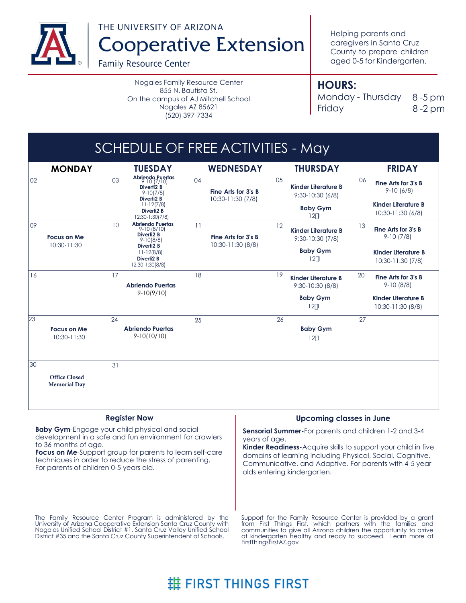

THE UNIVERSITY OF ARIZONA

**Cooperative Extension** 

**Family Resource Center** 

Nogales Family Resource Center 855 N. Bautista St. On the campus of AJ Mitchell School Nogales AZ 85621 (520) 397-7334

Helping parents and caregivers in Santa Cruz County to prepare children aged 0-5 for Kindergarten.

# **HOURS:**

Monday - Thursday 8-5 pm Friday 8 -2 pm

#### SCHEDULE OF FREE ACTIVITIES - May **MONDAY TUESDAY WEDNESDAY THURSDAY FRIDAY** 09 10 11 12 13 9-10 (8/10) **Abriendo Puertas** 17 18 23 23 24 24 25 26 26 27 30 31 02  $19$  Kinder Literature B  $\frac{20}{ }$  $24$ 121 121 **Baby Gym Fine Arts for 3's B** 9-10 (7/8) **Fine Arts for 3's B** 9-10 (8/8) **Kinder Literature B** 10:30-11:30 (8/8) **Kinder Literature B** 10:30-11:30 (7/8) 16 **Kinder Literature B** 9:30-10:30 (7/8) 121 **Baby Gym Baby Gym** 121 **Fine Arts for 3's B** 9-10 (6/8) **Kinder Literature B** 10:30-11:30 (6/8) **Kinder Literature B** 9:30-10:30 (6/8) **Fine Arts for 3's B** 10:30-11:30 (8/8) **Baby Gym** 9:30-10:30 (8/8) **Focus on Me** 10:30-11:30 03 04 05 06 **Abriendo Puertas** 9-10 (7/10) **Diverti2 B** 9-10(8/8) **Diverti2 B** 11-12(7/8) **Diverti2 B** 12:30-1:30(7/8) **Diverti2 B** 9-10(7/8) **Diverti2 B** 11-12(8/8) **Diverti2 B** 12:30-1:30(8/8) **Abriendo Puertas** 9-10(10/10) **Abriendo Puertas** 9-10(9/10) **Focus on Me** 10:30-11:30 **Fine Arts for 3's B** 10:30-11:30 (7/8) 25 **Office Closed Memorial Day**

### **Register Now**

**Baby Gym**-Engage your child physical and social development in a safe and fun environment for crawlers to 36 months of age.

**Focus on Me**-Support group for parents to learn self-care techniques in order to reduce the stress of parenting. For parents of children 0-5 years old.

### **Upcoming classes in June**

**Sensorial Summer-**For parents and children 1-2 and 3-4 years of age.

**Kinder Readiness-**Acquire skills to support your child in five domains of learning including Physical, Social, Cognitive, Communicative, and Adaptive. For parents with 4-5 year olds entering kindergarten.

The Family Resource Center Program is administered by the University of Arizona Cooperative Extension Santa Cruz County with Nogales Unified School District #1, Santa Cruz Valley Unified School District #35 and the Santa Cruz County Superintendent of Schools.

Support for the Family Resource Center is provided by a grant from First Things First, which partners with the families and communities to give all Arizona children the opportunity to arrive at kindergarten healthy and ready to succeed. Learn more at FirstThingsFirstAZ.gov

# **进 FIRST THINGS FIRST**